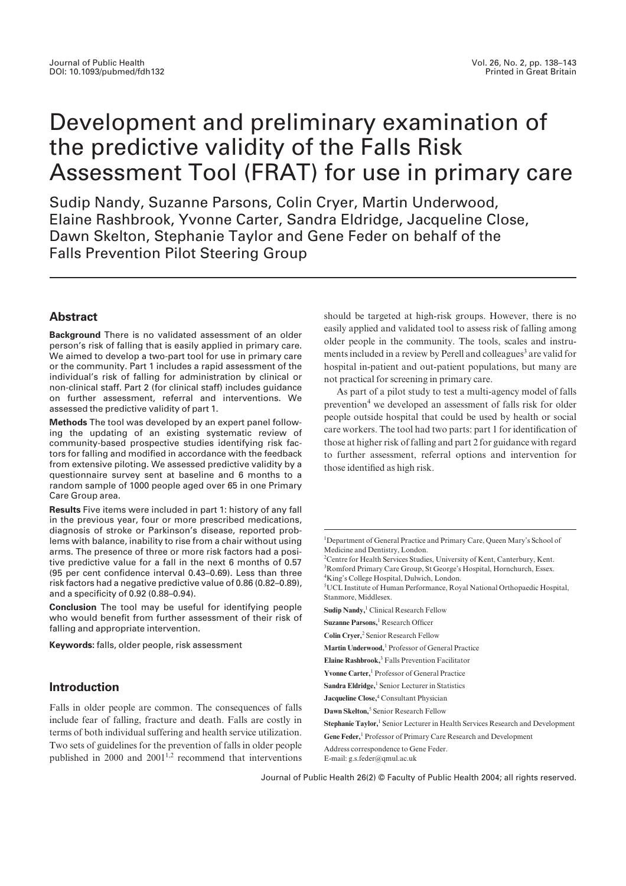# Development and preliminary examination of the predictive validity of the Falls Risk Assessment Tool (FRAT) for use in primary care

Sudip Nandy, Suzanne Parsons, Colin Cryer, Martin Underwood, Elaine Rashbrook, Yvonne Carter, Sandra Eldridge, Jacqueline Close, Dawn Skelton, Stephanie Taylor and Gene Feder on behalf of the Falls Prevention Pilot Steering Group

# **Abstract**

**Background** There is no validated assessment of an older person's risk of falling that is easily applied in primary care. We aimed to develop a two-part tool for use in primary care or the community. Part 1 includes a rapid assessment of the individual's risk of falling for administration by clinical or non-clinical staff. Part 2 (for clinical staff) includes guidance on further assessment, referral and interventions. We assessed the predictive validity of part 1.

**Methods** The tool was developed by an expert panel following the updating of an existing systematic review of community-based prospective studies identifying risk factors for falling and modified in accordance with the feedback from extensive piloting. We assessed predictive validity by a questionnaire survey sent at baseline and 6 months to a random sample of 1000 people aged over 65 in one Primary Care Group area.

**Results** Five items were included in part 1: history of any fall in the previous year, four or more prescribed medications, diagnosis of stroke or Parkinson's disease, reported problems with balance, inability to rise from a chair without using arms. The presence of three or more risk factors had a positive predictive value for a fall in the next 6 months of 0.57 (95 per cent confidence interval 0.43–0.69). Less than three risk factors had a negative predictive value of 0.86 (0.82–0.89), and a specificity of 0.92 (0.88–0.94).

**Conclusion** The tool may be useful for identifying people who would benefit from further assessment of their risk of falling and appropriate intervention.

**Keywords:** falls, older people, risk assessment

# **Introduction**

Falls in older people are common. The consequences of falls include fear of falling, fracture and death. Falls are costly in terms of both individual suffering and health service utilization. Two sets of guidelines for the prevention of falls in older people published in  $2000$  and  $2001^{1,2}$  recommend that interventions should be targeted at high-risk groups. However, there is no easily applied and validated tool to assess risk of falling among older people in the community. The tools, scales and instruments included in a review by Perell and colleagues<sup>3</sup> are valid for hospital in-patient and out-patient populations, but many are not practical for screening in primary care.

As part of a pilot study to test a multi-agency model of falls prevention<sup>4</sup> we developed an assessment of falls risk for older people outside hospital that could be used by health or social care workers. The tool had two parts: part 1 for identification of those at higher risk of falling and part 2 for guidance with regard to further assessment, referral options and intervention for those identified as high risk.

5 UCL Institute of Human Performance, Royal National Orthopaedic Hospital, Stanmore, Middlesex.

**Sudip Nandy,**<sup>1</sup> Clinical Research Fellow

**Suzanne Parsons,**<sup>1</sup> Research Officer

- **Martin Underwood,**<sup>1</sup> Professor of General Practice
- **Elaine Rashbrook,**<sup>3</sup> Falls Prevention Facilitator
- **Yvonne Carter,**<sup>1</sup> Professor of General Practice
- Sandra Eldridge,<sup>1</sup> Senior Lecturer in Statistics
- **Jacqueline Close,**<sup>4</sup> Consultant Physician
- **Dawn Skelton,**<sup>5</sup> Senior Research Fellow
- **Stephanie Taylor,**<sup>1</sup> Senior Lecturer in Health Services Research and Development
- **Gene Feder,**<sup>1</sup> Professor of Primary Care Research and Development

Address correspondence to Gene Feder.

E-mail: g.s.feder@qmul.ac.uk

Journal of Public Health 26(2) © Faculty of Public Health 2004; all rights reserved.

<sup>&</sup>lt;sup>1</sup>Department of General Practice and Primary Care, Queen Mary's School of Medicine and Dentistry, London.

<sup>&</sup>lt;sup>2</sup> Centre for Health Services Studies, University of Kent, Canterbury, Kent. <sup>3</sup>Romford Primary Care Group, St George's Hospital, Hornchurch, Essex. 4 King's College Hospital, Dulwich, London.

**Colin Cryer,**<sup>2</sup> Senior Research Fellow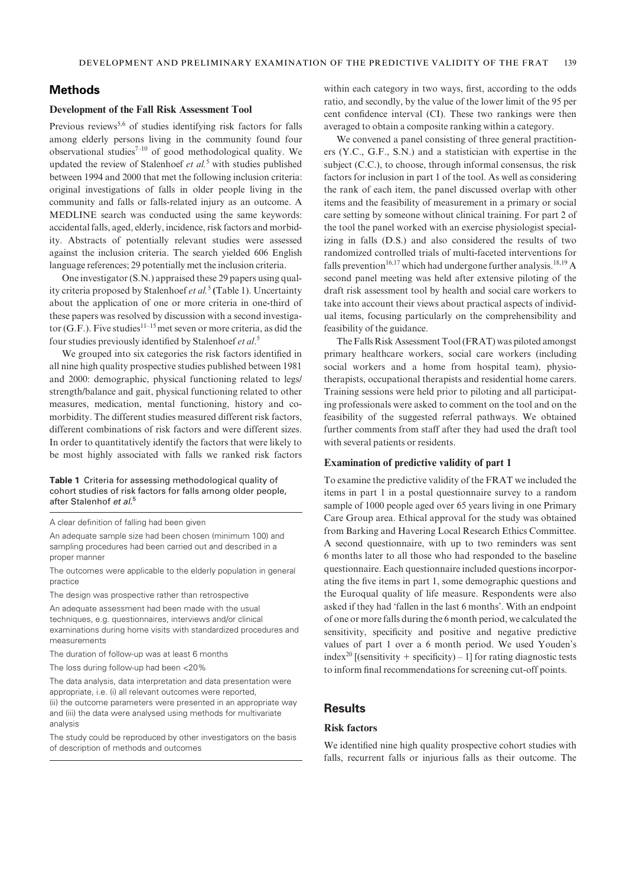# **Methods**

## **Development of the Fall Risk Assessment Tool**

Previous reviews<sup>5,6</sup> of studies identifying risk factors for falls among elderly persons living in the community found four observational studies<sup>7-10</sup> of good methodological quality. We updated the review of Stalenhoef *et al.*<sup>5</sup> with studies published between 1994 and 2000 that met the following inclusion criteria: original investigations of falls in older people living in the community and falls or falls-related injury as an outcome. A MEDLINE search was conducted using the same keywords: accidental falls, aged, elderly, incidence, risk factors and morbidity. Abstracts of potentially relevant studies were assessed against the inclusion criteria. The search yielded 606 English language references; 29 potentially met the inclusion criteria.

One investigator (S.N.) appraised these 29 papers using quality criteria proposed by Stalenhoef *et al.*<sup>5</sup> **(**Table 1). Uncertainty about the application of one or more criteria in one-third of these papers was resolved by discussion with a second investigator (G.F.). Five studies<sup>11–15</sup> met seven or more criteria, as did the four studies previously identified by Stalenhoef *et al*. 5

We grouped into six categories the risk factors identified in all nine high quality prospective studies published between 1981 and 2000: demographic, physical functioning related to legs/ strength/balance and gait, physical functioning related to other measures, medication, mental functioning, history and comorbidity. The different studies measured different risk factors, different combinations of risk factors and were different sizes. In order to quantitatively identify the factors that were likely to be most highly associated with falls we ranked risk factors

#### **Table 1** Criteria for assessing methodological quality of cohort studies of risk factors for falls among older people, after Stalenhof *et al.*<sup>5</sup>

A clear definition of falling had been given

An adequate sample size had been chosen (minimum 100) and sampling procedures had been carried out and described in a proper manner

The outcomes were applicable to the elderly population in general practice

The design was prospective rather than retrospective

An adequate assessment had been made with the usual techniques, e.g. questionnaires, interviews and/or clinical examinations during home visits with standardized procedures and measurements

The duration of follow-up was at least 6 months

The loss during follow-up had been <20%

The data analysis, data interpretation and data presentation were appropriate, i.e. (i) all relevant outcomes were reported, (ii) the outcome parameters were presented in an appropriate way and (iii) the data were analysed using methods for multivariate analysis

The study could be reproduced by other investigators on the basis of description of methods and outcomes

within each category in two ways, first, according to the odds ratio, and secondly, by the value of the lower limit of the 95 per cent confidence interval (CI). These two rankings were then averaged to obtain a composite ranking within a category.

We convened a panel consisting of three general practitioners (Y.C., G.F., S.N.) and a statistician with expertise in the subject (C.C.), to choose, through informal consensus, the risk factors for inclusion in part 1 of the tool. As well as considering the rank of each item, the panel discussed overlap with other items and the feasibility of measurement in a primary or social care setting by someone without clinical training. For part 2 of the tool the panel worked with an exercise physiologist specializing in falls (D.S.) and also considered the results of two randomized controlled trials of multi-faceted interventions for falls prevention<sup>16,17</sup> which had undergone further analysis.<sup>18,19</sup> A second panel meeting was held after extensive piloting of the draft risk assessment tool by health and social care workers to take into account their views about practical aspects of individual items, focusing particularly on the comprehensibility and feasibility of the guidance.

The Falls Risk Assessment Tool (FRAT) was piloted amongst primary healthcare workers, social care workers (including social workers and a home from hospital team), physiotherapists, occupational therapists and residential home carers. Training sessions were held prior to piloting and all participating professionals were asked to comment on the tool and on the feasibility of the suggested referral pathways. We obtained further comments from staff after they had used the draft tool with several patients or residents.

#### **Examination of predictive validity of part 1**

To examine the predictive validity of the FRAT we included the items in part 1 in a postal questionnaire survey to a random sample of 1000 people aged over 65 years living in one Primary Care Group area. Ethical approval for the study was obtained from Barking and Havering Local Research Ethics Committee. A second questionnaire, with up to two reminders was sent 6 months later to all those who had responded to the baseline questionnaire. Each questionnaire included questions incorporating the five items in part 1, some demographic questions and the Euroqual quality of life measure. Respondents were also asked if they had 'fallen in the last 6 months'. With an endpoint of one or more falls during the 6 month period, we calculated the sensitivity, specificity and positive and negative predictive values of part 1 over a 6 month period. We used Youden's index<sup>20</sup> [(sensitivity + specificity) – 1] for rating diagnostic tests to inform final recommendations for screening cut-off points.

## **Results**

#### **Risk factors**

We identified nine high quality prospective cohort studies with falls, recurrent falls or injurious falls as their outcome. The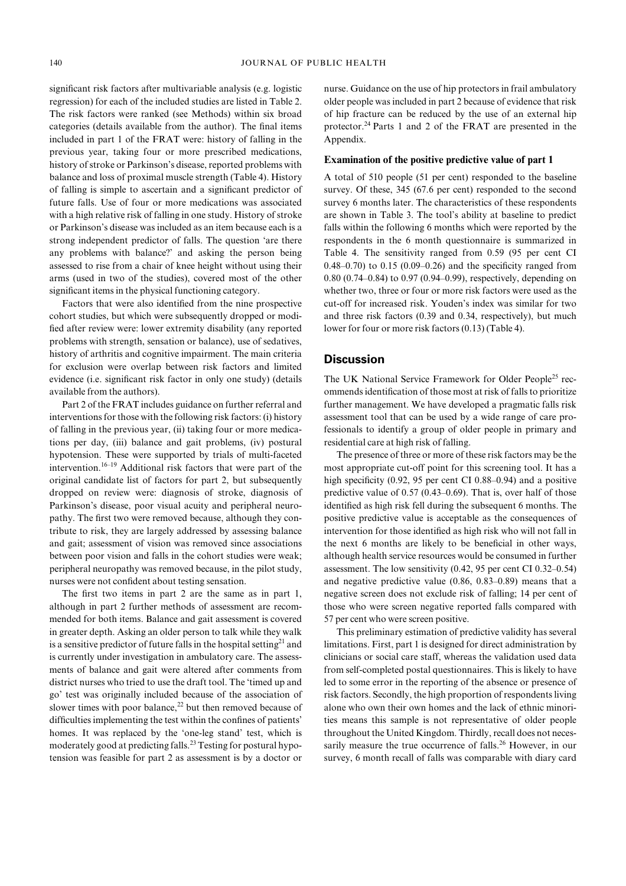significant risk factors after multivariable analysis (e.g. logistic regression) for each of the included studies are listed in Table 2. The risk factors were ranked (see Methods) within six broad categories (details available from the author). The final items included in part 1 of the FRAT were: history of falling in the previous year, taking four or more prescribed medications, history of stroke or Parkinson's disease, reported problems with balance and loss of proximal muscle strength (Table 4). History of falling is simple to ascertain and a significant predictor of future falls. Use of four or more medications was associated with a high relative risk of falling in one study. History of stroke or Parkinson's disease was included as an item because each is a strong independent predictor of falls. The question 'are there any problems with balance?' and asking the person being assessed to rise from a chair of knee height without using their arms (used in two of the studies), covered most of the other significant items in the physical functioning category.

Factors that were also identified from the nine prospective cohort studies, but which were subsequently dropped or modified after review were: lower extremity disability (any reported problems with strength, sensation or balance), use of sedatives, history of arthritis and cognitive impairment. The main criteria for exclusion were overlap between risk factors and limited evidence (i.e. significant risk factor in only one study) (details available from the authors).

Part 2 of the FRAT includes guidance on further referral and interventions for those with the following risk factors: (i) history of falling in the previous year, (ii) taking four or more medications per day, (iii) balance and gait problems, (iv) postural hypotension. These were supported by trials of multi-faceted intervention.16–19 Additional risk factors that were part of the original candidate list of factors for part 2, but subsequently dropped on review were: diagnosis of stroke, diagnosis of Parkinson's disease, poor visual acuity and peripheral neuropathy. The first two were removed because, although they contribute to risk, they are largely addressed by assessing balance and gait; assessment of vision was removed since associations between poor vision and falls in the cohort studies were weak; peripheral neuropathy was removed because, in the pilot study, nurses were not confident about testing sensation.

The first two items in part 2 are the same as in part 1, although in part 2 further methods of assessment are recommended for both items. Balance and gait assessment is covered in greater depth. Asking an older person to talk while they walk is a sensitive predictor of future falls in the hospital setting<sup>21</sup> and is currently under investigation in ambulatory care. The assessments of balance and gait were altered after comments from district nurses who tried to use the draft tool. The 'timed up and go' test was originally included because of the association of slower times with poor balance, $22$  but then removed because of difficulties implementing the test within the confines of patients' homes. It was replaced by the 'one-leg stand' test, which is moderately good at predicting falls.<sup>23</sup> Testing for postural hypotension was feasible for part 2 as assessment is by a doctor or nurse. Guidance on the use of hip protectors in frail ambulatory older people was included in part 2 because of evidence that risk of hip fracture can be reduced by the use of an external hip protector.24 Parts 1 and 2 of the FRAT are presented in the Appendix.

#### **Examination of the positive predictive value of part 1**

A total of 510 people (51 per cent) responded to the baseline survey. Of these, 345 (67.6 per cent) responded to the second survey 6 months later. The characteristics of these respondents are shown in Table 3. The tool's ability at baseline to predict falls within the following 6 months which were reported by the respondents in the 6 month questionnaire is summarized in Table 4. The sensitivity ranged from 0.59 (95 per cent CI 0.48–0.70) to 0.15 (0.09–0.26) and the specificity ranged from 0.80 (0.74–0.84) to 0.97 (0.94–0.99), respectively, depending on whether two, three or four or more risk factors were used as the cut-off for increased risk. Youden's index was similar for two and three risk factors (0.39 and 0.34, respectively), but much lower for four or more risk factors (0.13) (Table 4).

#### **Discussion**

The UK National Service Framework for Older People<sup>25</sup> recommends identification of those most at risk of falls to prioritize further management. We have developed a pragmatic falls risk assessment tool that can be used by a wide range of care professionals to identify a group of older people in primary and residential care at high risk of falling.

The presence of three or more of these risk factors may be the most appropriate cut-off point for this screening tool. It has a high specificity (0.92, 95 per cent CI 0.88–0.94) and a positive predictive value of 0.57 (0.43–0.69). That is, over half of those identified as high risk fell during the subsequent 6 months. The positive predictive value is acceptable as the consequences of intervention for those identified as high risk who will not fall in the next 6 months are likely to be beneficial in other ways, although health service resources would be consumed in further assessment. The low sensitivity (0.42, 95 per cent CI 0.32–0.54) and negative predictive value (0.86, 0.83–0.89) means that a negative screen does not exclude risk of falling; 14 per cent of those who were screen negative reported falls compared with 57 per cent who were screen positive.

This preliminary estimation of predictive validity has several limitations. First, part 1 is designed for direct administration by clinicians or social care staff, whereas the validation used data from self-completed postal questionnaires. This is likely to have led to some error in the reporting of the absence or presence of risk factors. Secondly, the high proportion of respondents living alone who own their own homes and the lack of ethnic minorities means this sample is not representative of older people throughout the United Kingdom. Thirdly, recall does not necessarily measure the true occurrence of falls.<sup>26</sup> However, in our survey, 6 month recall of falls was comparable with diary card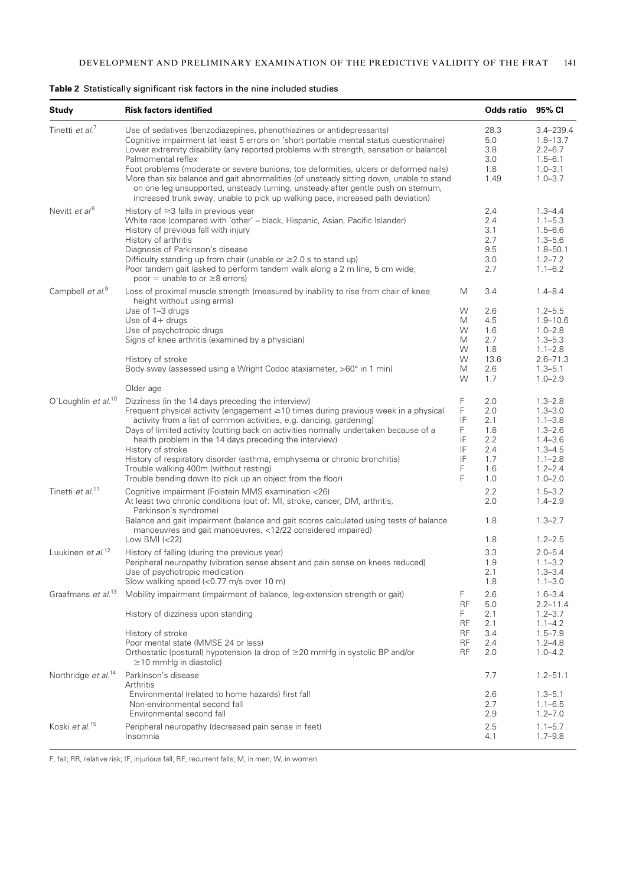| <b>Study</b>                    | <b>Risk factors identified</b>                                                                                                                                                                                                                                                                                                                                                                                                                                                                                                                                                                                                              |                                               | Odds ratio                                                  | 95% CI                                                                                                                              |
|---------------------------------|---------------------------------------------------------------------------------------------------------------------------------------------------------------------------------------------------------------------------------------------------------------------------------------------------------------------------------------------------------------------------------------------------------------------------------------------------------------------------------------------------------------------------------------------------------------------------------------------------------------------------------------------|-----------------------------------------------|-------------------------------------------------------------|-------------------------------------------------------------------------------------------------------------------------------------|
| Tinetti et al. <sup>7</sup>     | Use of sedatives (benzodiazepines, phenothiazines or antidepressants)<br>Cognitive impairment (at least 5 errors on 'short portable mental status questionnaire)<br>Lower extremity disability (any reported problems with strength, sensation or balance)<br>Palmomental reflex<br>Foot problems (moderate or severe bunions, toe deformities, ulcers or deformed nails)<br>More than six balance and gait abnormalities (of unsteady sitting down, unable to stand<br>on one leg unsupported, unsteady turning, unsteady after gentle push on sternum,<br>increased trunk sway, unable to pick up walking pace, increased path deviation) |                                               | 28.3<br>5.0<br>3.8<br>3.0<br>1.8<br>1.49                    | $3.4 - 239.4$<br>$1.8 - 13.7$<br>$2.2 - 6.7$<br>$1.5 - 6.1$<br>$1.0 - 3.1$<br>$1.0 - 3.7$                                           |
| Nevitt et al <sup>8</sup>       | History of $\geq$ 3 falls in previous year<br>White race (compared with 'other' - black, Hispanic, Asian, Pacific Islander)<br>History of previous fall with injury<br>History of arthritis<br>Diagnosis of Parkinson's disease<br>Difficulty standing up from chair (unable or $\geq$ 2.0 s to stand up)<br>Poor tandem gait (asked to perform tandem walk along a 2 m line, 5 cm wide;<br>poor = unable to or $\geq 8$ errors)                                                                                                                                                                                                            |                                               | 2.4<br>2.4<br>3.1<br>2.7<br>9.5<br>3.0<br>2.7               | $1.3 - 4.4$<br>$1.1 - 5.3$<br>$1.5 - 6.6$<br>$1.3 - 5.6$<br>$1.8 - 50.1$<br>$1.2 - 7.2$<br>$1.1 - 6.2$                              |
| Campbell et al. <sup>9</sup>    | Loss of proximal muscle strength (measured by inability to rise from chair of knee<br>height without using arms)                                                                                                                                                                                                                                                                                                                                                                                                                                                                                                                            | M                                             | 3.4                                                         | $1.4 - 8.4$                                                                                                                         |
|                                 | Use of 1-3 drugs<br>Use of $4+$ drugs<br>Use of psychotropic drugs<br>Signs of knee arthritis (examined by a physician)<br>History of stroke                                                                                                                                                                                                                                                                                                                                                                                                                                                                                                | W<br>М<br>W<br>М<br>W<br>W                    | 2.6<br>4.5<br>1.6<br>2.7<br>1.8<br>13.6                     | $1.2 - 5.5$<br>$1.9 - 10.6$<br>$1.0 - 2.8$<br>$1.3 - 5.3$<br>$1.1 - 2.8$<br>$2.6 - 71.3$                                            |
|                                 | Body sway (assessed using a Wright Codoc ataxiameter, >60° in 1 min)<br>Older age                                                                                                                                                                                                                                                                                                                                                                                                                                                                                                                                                           | М<br>W                                        | 2.6<br>1.7                                                  | $1.3 - 5.1$<br>$1.0 - 2.9$                                                                                                          |
| O'Loughlin et al. <sup>10</sup> | Dizziness (in the 14 days preceding the interview)<br>Frequent physical activity (engagement $\geq$ 10 times during previous week in a physical<br>activity from a list of common activities, e.g. dancing, gardening)<br>Days of limited activity (cutting back on activities normally undertaken because of a<br>health problem in the 14 days preceding the interview)<br>History of stroke<br>History of respiratory disorder (asthma, emphysema or chronic bronchitis)<br>Trouble walking 400m (without resting)<br>Trouble bending down (to pick up an object from the floor)                                                         | F<br>F<br>IF<br>F<br>IF<br>IF<br>IF<br>F<br>F | 2.0<br>2.0<br>2.1<br>1.8<br>2.2<br>2.4<br>1.7<br>1.6<br>1.0 | $1.3 - 2.8$<br>$1.3 - 3.0$<br>$1.1 - 3.8$<br>$1.3 - 2.6$<br>$1.4 - 3.6$<br>$1.3 - 4.5$<br>$1.1 - 2.8$<br>$1.2 - 2.4$<br>$1.0 - 2.0$ |
| Tinetti et al. <sup>11</sup>    | Cognitive impairment (Folstein MMS examination <26)<br>At least two chronic conditions (out of: MI, stroke, cancer, DM, arthritis,<br>Parkinson's syndrome)<br>Balance and gait impairment (balance and gait scores calculated using tests of balance                                                                                                                                                                                                                                                                                                                                                                                       |                                               | 2.2<br>2.0<br>1.8                                           | $1.5 - 3.2$<br>$1.4 - 2.9$<br>$1.3 - 2.7$                                                                                           |
| Luukinen et al. <sup>12</sup>   | manoeuvres and gait manoeuvres, <12/22 considered impaired)<br>Low BMI $(< 22)$<br>History of falling (during the previous year)                                                                                                                                                                                                                                                                                                                                                                                                                                                                                                            |                                               | 1.8<br>3.3                                                  | $1.2 - 2.5$<br>$2.0 - 5.4$                                                                                                          |
|                                 | Peripheral neuropathy (vibration sense absent and pain sense on knees reduced)<br>Use of psychotropic medication<br>Slow walking speed (<0.77 m/s over 10 m)                                                                                                                                                                                                                                                                                                                                                                                                                                                                                |                                               | 1.9<br>2.1<br>1.8                                           | $1.1 - 3.2$<br>$1.3 - 3.4$<br>$1.1 - 3.0$                                                                                           |
| Graafmans et al. <sup>13</sup>  | Mobility impairment (impairment of balance, leg-extension strength or gait)<br>History of dizziness upon standing                                                                                                                                                                                                                                                                                                                                                                                                                                                                                                                           | F<br>RF<br>F                                  | 2.6<br>5.0<br>2.1                                           | $1.6 - 3.4$<br>$2.2 - 11.4$<br>$1.2 - 3.7$                                                                                          |
|                                 | History of stroke<br>Poor mental state (MMSE 24 or less)<br>Orthostatic (postural) hypotension (a drop of ≥20 mmHg in systolic BP and/or<br>$\geq$ 10 mmHg in diastolic)                                                                                                                                                                                                                                                                                                                                                                                                                                                                    | RF<br>RF<br>RF<br>RF                          | 2.1<br>3.4<br>2.4<br>2.0                                    | $1.1 - 4.2$<br>$1.5 - 7.9$<br>$1.2 - 4.8$<br>$1.0 - 4.2$                                                                            |
| Northridge et al. <sup>14</sup> | Parkinson's disease<br>Arthritis                                                                                                                                                                                                                                                                                                                                                                                                                                                                                                                                                                                                            |                                               | 7.7                                                         | $1.2 - 51.1$                                                                                                                        |
|                                 | Environmental (related to home hazards) first fall<br>Non-environmental second fall<br>Environmental second fall                                                                                                                                                                                                                                                                                                                                                                                                                                                                                                                            |                                               | 2.6<br>2.7<br>2.9                                           | $1.3 - 5.1$<br>$1.1 - 6.5$<br>$1.2 - 7.0$                                                                                           |
| Koski et al. <sup>15</sup>      | Peripheral neuropathy (decreased pain sense in feet)<br>Insomnia                                                                                                                                                                                                                                                                                                                                                                                                                                                                                                                                                                            |                                               | 2.5<br>4.1                                                  | $1.1 - 5.7$<br>$1.7 - 9.8$                                                                                                          |

## **Table 2** Statistically significant risk factors in the nine included studies

F, fall; RR, relative risk; IF, injurious fall; RF, recurrent falls; M, in men; W, in women.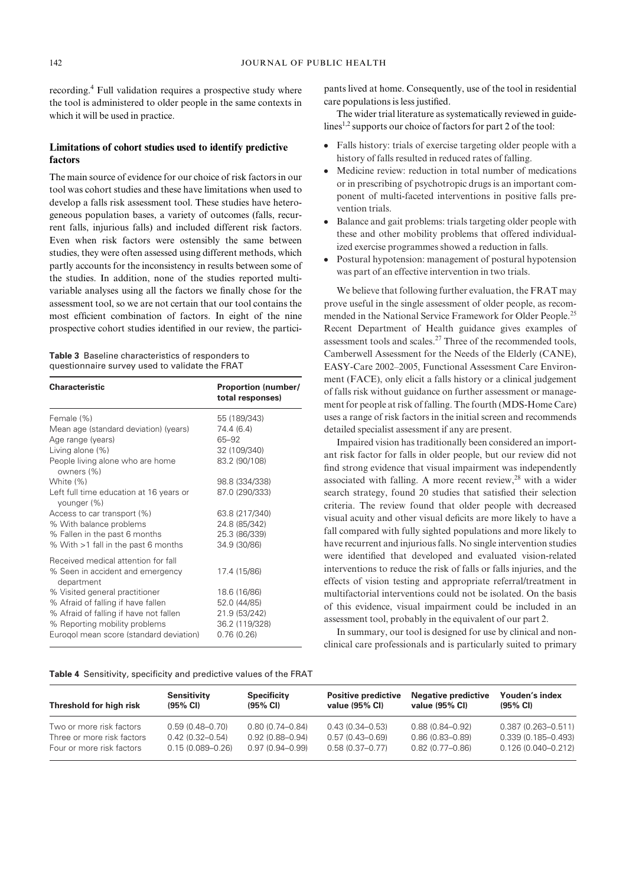recording.4 Full validation requires a prospective study where the tool is administered to older people in the same contexts in which it will be used in practice.

## **Limitations of cohort studies used to identify predictive factors**

The main source of evidence for our choice of risk factors in our tool was cohort studies and these have limitations when used to develop a falls risk assessment tool. These studies have heterogeneous population bases, a variety of outcomes (falls, recurrent falls, injurious falls) and included different risk factors. Even when risk factors were ostensibly the same between studies, they were often assessed using different methods, which partly accounts for the inconsistency in results between some of the studies. In addition, none of the studies reported multivariable analyses using all the factors we finally chose for the assessment tool, so we are not certain that our tool contains the most efficient combination of factors. In eight of the nine prospective cohort studies identified in our review, the partici-

| <b>Table 3</b> Baseline characteristics of responders to |  |  |
|----------------------------------------------------------|--|--|
| questionnaire survey used to validate the FRAT           |  |  |

| <b>Characteristic</b>                                  | <b>Proportion (number/</b><br>total responses) |
|--------------------------------------------------------|------------------------------------------------|
| Female (%)                                             | 55 (189/343)                                   |
| Mean age (standard deviation) (years)                  | 74.4 (6.4)                                     |
| Age range (years)                                      | 65-92                                          |
| Living alone (%)                                       | 32 (109/340)                                   |
| People living alone who are home<br>owners (%)         | 83.2 (90/108)                                  |
| White (%)                                              | 98.8 (334/338)                                 |
| Left full time education at 16 years or<br>younger (%) | 87.0 (290/333)                                 |
| Access to car transport (%)                            | 63.8 (217/340)                                 |
| % With balance problems                                | 24.8 (85/342)                                  |
| % Fallen in the past 6 months                          | 25.3 (86/339)                                  |
| % With >1 fall in the past 6 months                    | 34.9 (30/86)                                   |
| Received medical attention for fall                    |                                                |
| % Seen in accident and emergency<br>department         | 17.4 (15/86)                                   |
| % Visited general practitioner                         | 18.6 (16/86)                                   |
| % Afraid of falling if have fallen                     | 52.0 (44/85)                                   |
| % Afraid of falling if have not fallen                 | 21.9 (53/242)                                  |
| % Reporting mobility problems                          | 36.2 (119/328)                                 |
| Eurogol mean score (standard deviation)                | 0.76(0.26)                                     |

**Table 4** Sensitivity, specificity and predictive values of the FRAT

pants lived at home. Consequently, use of the tool in residential care populations is less justified.

The wider trial literature as systematically reviewed in guidelines<sup>1,2</sup> supports our choice of factors for part 2 of the tool:

- Falls history: trials of exercise targeting older people with a history of falls resulted in reduced rates of falling.
- Medicine review: reduction in total number of medications or in prescribing of psychotropic drugs is an important component of multi-faceted interventions in positive falls prevention trials.
- Balance and gait problems: trials targeting older people with these and other mobility problems that offered individualized exercise programmes showed a reduction in falls.
- Postural hypotension: management of postural hypotension was part of an effective intervention in two trials.

We believe that following further evaluation, the FRAT may prove useful in the single assessment of older people, as recommended in the National Service Framework for Older People.25 Recent Department of Health guidance gives examples of assessment tools and scales.27 Three of the recommended tools, Camberwell Assessment for the Needs of the Elderly (CANE), EASY-Care 2002–2005, Functional Assessment Care Environment (FACE), only elicit a falls history or a clinical judgement of falls risk without guidance on further assessment or management for people at risk of falling. The fourth (MDS-Home Care) uses a range of risk factors in the initial screen and recommends detailed specialist assessment if any are present.

Impaired vision has traditionally been considered an important risk factor for falls in older people, but our review did not find strong evidence that visual impairment was independently associated with falling. A more recent review, $28$  with a wider search strategy, found 20 studies that satisfied their selection criteria. The review found that older people with decreased visual acuity and other visual deficits are more likely to have a fall compared with fully sighted populations and more likely to have recurrent and injurious falls. No single intervention studies were identified that developed and evaluated vision-related interventions to reduce the risk of falls or falls injuries, and the effects of vision testing and appropriate referral/treatment in multifactorial interventions could not be isolated. On the basis of this evidence, visual impairment could be included in an assessment tool, probably in the equivalent of our part 2.

In summary, our tool is designed for use by clinical and nonclinical care professionals and is particularly suited to primary

| Threshold for high risk    | <b>Sensitivity</b><br>$(95% \text{ Cl})$ | <b>Specificity</b><br>(95% CI) | <b>Positive predictive</b><br>value (95% CI) | <b>Negative predictive</b><br>value (95% CI) | Youden's index<br>(95% CI) |
|----------------------------|------------------------------------------|--------------------------------|----------------------------------------------|----------------------------------------------|----------------------------|
| Two or more risk factors   | $0.59(0.48 - 0.70)$                      | $0.80(0.74 - 0.84)$            | $0.43(0.34 - 0.53)$                          | $0.88(0.84 - 0.92)$                          | $0.387(0.263 - 0.511)$     |
| Three or more risk factors | $0.42(0.32 - 0.54)$                      | $0.92(0.88 - 0.94)$            | $0.57(0.43 - 0.69)$                          | $0.86(0.83 - 0.89)$                          | $0.339(0.185 - 0.493)$     |
| Four or more risk factors  | $0.15(0.089 - 0.26)$                     | $0.97(0.94 - 0.99)$            | $0.58(0.37-0.77)$                            | $0.82(0.77-0.86)$                            | $0.126(0.040 - 0.212)$     |